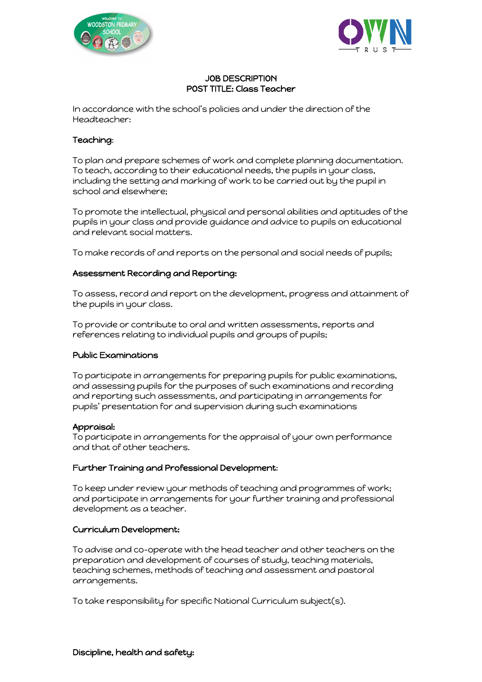



### JOB DESCRIPTION POST TITLE: Class Teacher

In accordance with the school's policies and under the direction of the Headteacher:

# Teaching:

To plan and prepare schemes of work and complete planning documentation. To teach, according to their educational needs, the pupils in your class, including the setting and marking of work to be carried out by the pupil in school and elsewhere;

To promote the intellectual, physical and personal abilities and aptitudes of the pupils in your class and provide guidance and advice to pupils on educational and relevant social matters.

To make records of and reports on the personal and social needs of pupils;

### Assessment Recording and Reporting:

To assess, record and report on the development, progress and attainment of the pupils in your class.

To provide or contribute to oral and written assessments, reports and references relating to individual pupils and groups of pupils;

### Public Examinations

To participate in arrangements for preparing pupils for public examinations, and assessing pupils for the purposes of such examinations and recording and reporting such assessments, and participating in arrangements for pupils' presentation for and supervision during such examinations

### Appraisal:

To participate in arrangements for the appraisal of your own performance and that of other teachers.

# Further Training and Professional Development:

To keep under review your methods of teaching and programmes of work; and participate in arrangements for your further training and professional development as a teacher.

### Curriculum Development:

To advise and co-operate with the head teacher and other teachers on the preparation and development of courses of study, teaching materials, teaching schemes, methods of teaching and assessment and pastoral arrangements.

To take responsibility for specific National Curriculum subject(s).